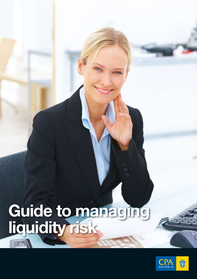# **Guide to managing liquidity risk**THE

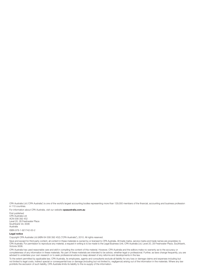CPA Australia Ltd ('CPA Australia') is one of the world's largest accounting bodies representing more than 129,000 members of the financial, accounting and business profession in 110 countries.

For information about CPA Australia, visit our website **cpaaustralia.com.au**

First published CPA Australia Ltd ACN 008 392 452 Level 20, 28 Freshwater Place Southbank Vic 3006 Australia ISBN 978-1-921742-00-2

#### **Legal notice**

Copyright CPA Australia Ltd (ABN 64 008 392 452) ("CPA Australia"), 2010. All rights reserved.

Save and except for third party content, all content in these materials is owned by or licensed to CPA Australia. All trade marks, service marks and trade names are proprietary to CPA Australia. For permission to reproduce any material, a request in writing is to be made to the Legal Business Unit, CPA Australia Ltd, Level 20, 28 Freshwater Place, Southbank, Victoria 3006.

CPA Australia has used reasonable care and skill in compiling the content of this material. However, CPA Australia and the editors make no warranty as to the accuracy or completeness of any information in these materials. No part of these materials are intended to be advice, whether legal or professional. Further, as laws change frequently, you are advised to undertake your own research or to seek professional advice to keep abreast of any reforms and developments in the law.

To the extent permitted by applicable law, CPA Australia, its employees, agents and consultants exclude all liability for any loss or damage claims and expenses including but not limited to legal costs, indirect special or consequential loss or damage (including but not limited to, negligence) arising out of the information in the materials. Where any law not limited to legal costs, indirect sp prohibits the exclusion of such liability, CPA Australia limits its liability to the re-supply of the information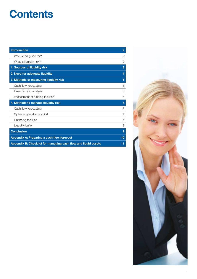## **Contents**

| <b>Introduction</b>                                            | $\overline{2}$ |
|----------------------------------------------------------------|----------------|
| Who is this guide for?                                         | $\overline{2}$ |
| What is liquidity risk?                                        | $\overline{2}$ |
| 1. Sources of liquidity risk                                   | 3              |
| 2. Need for adequate liquidity                                 | 4              |
| 3. Methods of measuring liquidity risk                         | 5              |
| Cash flow forecasting                                          | 5              |
| Financial ratio analysis                                       | 5              |
| Assessment of funding facilities                               | 6              |
| 4. Methods to manage liquidity risk                            | 7              |
| Cash flow forecasting                                          | $\overline{7}$ |
| Optimising working capital                                     | 7              |
| Financing facilities                                           | 7              |
| Liquidity buffer                                               | 8              |
| <b>Conclusion</b>                                              | 9              |
| Appendix A: Preparing a cash flow forecast                     | 10             |
| Appendix B: Checklist for managing cash flow and liquid assets | 11             |

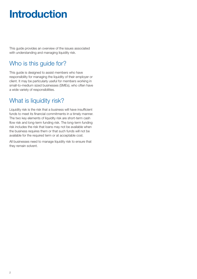## **Introduction**

This guide provides an overview of the issues associated with understanding and managing liquidity risk.

## Who is this guide for?

This guide is designed to assist members who have responsibility for managing the liquidity of their employer or client. It may be particularly useful for members working in small-to-medium sized businesses (SMEs), who often have a wide variety of responsibilities.

### What is liquidity risk?

Liquidity risk is the risk that a business will have insufficient funds to meet its financial commitments in a timely manner. The two key elements of liquidity risk are short-term cash flow risk and long-term funding risk. The long-term funding risk includes the risk that loans may not be available when the business requires them or that such funds will not be available for the required term or at acceptable cost.

All businesses need to manage liquidity risk to ensure that they remain solvent.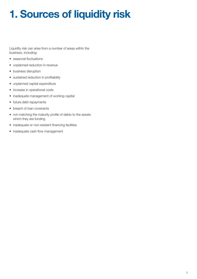## **1. Sources of liquidity risk**

Liquidity risk can arise from a number of areas within the business, including:

- seasonal fluctuations
- unplanned reduction in revenue
- • business disruption
- sustained reduction in profitability
- • unplanned capital expenditure
- increase in operational costs
- inadequate management of working capital
- future debt repayments
- breach of loan covenants
- not matching the maturity profile of debts to the assets which they are funding
- inadequate or non-existent financing facilities
- inadequate cash flow management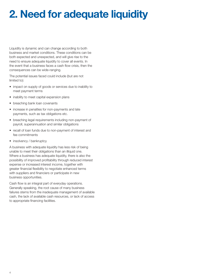## **2. Need for adequate liquidity**

Liquidity is dynamic and can change according to both business and market conditions. These conditions can be both expected and unexpected, and will give rise to the need to ensure adequate liquidity to cover all events. In the event that a business faces a cash flow crisis, then the consequences can be wide-ranging.

The potential issues faced could include (but are not limited to):

- impact on supply of goods or services due to inability to meet payment terms
- inability to meet capital expansion plans
- breaching bank loan covenants
- increase in penalties for non-payments and late payments, such as tax obligations etc.
- breaching legal requirements including non-payment of payroll, superannuation and similar obligations
- recall of loan funds due to non-payment of interest and fee commitments
- insolvency / bankruptcy

A business with adequate liquidity has less risk of being unable to meet their obligations than an illiquid one. Where a business has adequate liquidity, there is also the possibility of improved profitability through reduced interest expense or increased interest income, together with greater financial flexibility to negotiate enhanced terms with suppliers and financiers or participate in new business opportunities.

Cash flow is an integral part of everyday operations. Generally speaking, the root cause of many business failures stems from the inadequate management of available cash, the lack of available cash resources, or lack of access to appropriate financing facilities.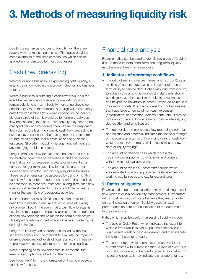## **3. Methods of measuring liquidity risk**

Due to the numerous sources of liquidity risk, there are several ways of measuring this risk. This guide provides some examples of the simpler measures which can be applied and understood by most businesses.

### Cash flow forecasting

Whether or not a business is experiencing tight liquidity, a regular cash flow forecast is a prudent step for any business to take.

Where a business is suffering a cash flow crisis, or in the event that either one of business or market conditions remain volatile, short-term liquidity monitoring should be considered. Where the business has large volumes of daily cash flow transactions (this would depend on the industry, although a rule of thumb would be ten or more daily cash flow transactions), then short-term liquidity may need to be managed daily and monitored often. Where the daily cash flow volumes are less, then weekly cash flow forecasting is best suited, ensuring that the management of short-term liquidity does not put undue pressure on the business resources. Short-term liquidity management will highlight any emerging problems quickly.

Longer term cash flow forecasts can be used to support the strategic objectives of the business and also provide financial details for proposed projects or lenders. In this case, the longer-term cash flow forecast is less about solvency and more focused on longevity of the business. These requirements can be assessed by using a monthly cash flow forecast for the appropriate period that needs to be assessed. In most circumstances, a long-term cash flow forecast will be developed for the current financial year to monitor the cash flow of operational activities.

It is important that all business units contribute to the cash flow forecasts to ensure that all sources of liquidity risk are identified. In the event that a cash flow forecast is developed to support a proposed project, then the duration of cash flow forecast should match the term of the project. This is particularly important where a business is altering its strategic direction.

Long-term liquidity can be further assessed by means of sensitivity analysis on the forecast to evaluate the impact of different strategies and levels of business activity in relation to prospective success of internal and external funding.

When preparing cash flow forecasts, it is essential that realistic assumptions are built into the model.

See Appendix A for more information on how to prepare a cash flow forecast.

## Financial ratio analysis

Financial ratios can be used to identify key areas of liquidity risk. To measure both short-term and long-term liquidity risk, there are three main categories.

#### **1. Indicators of operating cash flows**

- The ratio of earnings before interest and tax (EBIT), as a multiple of interest expense, is an indicator of the shortterm ability to service debt. Ratios may vary from industry to industry and a ratio below industry standards should be critically examined as it may indicate a weakness to an unexpected downturn in income, which could result in insolvency or default on loan covenants. For businesses that have large amounts of non-cash expenses (amortisation, depreciation, deferral items, etc.) it may be more appropriate to look at earnings before interest, tax, depreciation and amortisation.
- The ratio of debt to gross cash flow (operating profit plus depreciation and deferrals) indicates the financial strength of the business in terms of how many years of cash flow would be required to repay all debt assuming no new debt or equity raisings.
- The amount of retained cash which represents cash flows after payment of dividends and owners' withdrawals (net available cash).
- The amount of available uncommitted funds which are calculated by adjusting retained cash balances for working capital needs and capital expenditures.

#### **2. Ratios of liquidity**

Financial ratios do not necessarily identify the timing of cash flow which is crucial for liquidity management. Furthermore, ratios must be used with care because they may provide only an indication of current liquidity based on past performance and are not an indication of the outcome of future operations.

Ratios which may be useful in assessing liquidity include:

- The acid or Quick Ratio, which indicates the extent to which current liabilities can be paid immediately out of liquid assets (cash or cash equivalent), and may indicate the size of the buffer of cash.
- The current ratio, which compares the book value of current assets with current liabilities. A ratio of over 1:1 is normally considered to be comfortable. A ratio below 1:1 needs attention as it may indicate a shortage of funds.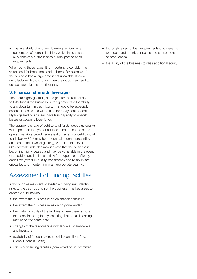• The availability of undrawn banking facilities as a percentage of current liabilities, which indicates the existence of a buffer in case of unexpected cash requirements.

When using these ratios, it is important to consider the value used for both stock and debtors. For example, if the business has a large amount of unsalable stock or uncollectable debtors funds, then the ratios may need to use adjusted figures to reflect this.

#### **3. Financial strength (leverage)**

The more highly geared (i.e. the greater the ratio of debt to total funds) the business is, the greater its vulnerability to any downturn in cash flows. This would be especially serious if it coincides with a time for repayment of debt. Highly geared businesses have less capacity to absorb losses or obtain rollover funds.

The appropriate ratio of debt to total funds (debt plus equity) will depend on the type of business and the nature of the operations. As a broad generalisation, a ratio of debt to total funds below 30% may be prudent (although representing an uneconomic level of gearing), while if debt is over 60% of total funds, this may indicate that the business is becoming highly geared and may be vulnerable in the event of a sudden decline in cash flow from operations. Clearly, cash flow (revenue) quality, consistency and reliability are critical factors in determining an appropriate gearing.

## Assessment of funding facilities

A thorough assessment of available funding may identify risks to the cash position of the business. The key areas to assess would include:

- the extent the business relies on financing facilities
- the extent the business relies on only one lender
- the maturity profile of the facilities, where there is more than one financing facility, ensuring that not all financings mature on the same date
- strength of the relationships with lenders, shareholders and investors
- availability of funds in extreme crisis conditions (e.g. Global Financial Crisis)
- status of financing facilities (committed or uncommitted)
- thorough review of loan requirements or covenants to understand the trigger points and subsequent consequences
- the ability of the business to raise additional equity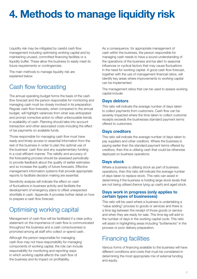## **4. Methods to manage liquidity risk**

Liquidity risk may be mitigated by careful cash flow management including optimising working capital and by maintaining unused, committed financing facilities or a liquidity buffer. These allow the business to easily meet its future requirements or contingencies.

The main methods to manage liquidity risk are explained below.

## Cash flow forecasting

The annual operating budget forms the basis of the cash flow forecast and the person responsible for monitoring and managing cash must be closely involved in its preparation. Regular cash flow forecasts, when compared to the annual budget, will highlight variances from what was anticipated and prompt corrective action to offset unfavourable trends in availability of cash. Planning should take into account transaction and other associated costs including the effect of tax payments on available funds.

Those responsible for managing cash flow must have ready and timely access to essential information from the rest of the business in order to plan the optimal use of the business' cash flow and any supplementary funding in a cost-efficient manner. The validity and accuracy of the forecasting process should be assessed periodically to provide feedback about the quality of earlier estimates and so increase the quality of future forecasts. Effective management information systems that provide appropriate reports to facilitate decision making are essential.

Sensitivity analysis will indicate the effect on cash of fluctuations in business activity and facilitate the development of emergency plans to offset unexpected shortfalls in cash. Appendix A provides further detail on how to prepare a cash flow forecast.

## Optimising working capital

Management of cash flow will be facilitated if a clear policy statement on the importance of cash flow is communicated throughout the business and a cash consciousness is promoted among all staff who collect or spend cash.

Although the person responsible for managing cash flow may not have responsibility for managing components of working capital, the role can include responsibility for monitoring and reporting ways in which working capital affects the cash flow of the business and its impact on profitability.

As a consequence, for appropriate management of cash within the business, the person responsible for managing cash needs to have a sound understanding of the operations of the business and be alert to seasonal influences or cyclical factors that may cause fluctuations in the need for working capital. A good cash flow forecast, together with the use of management financial ratios, will identify key areas where improvements to working capital can be implemented.

The management ratios that can be used to assess working capital include:

#### **Days debtors**

This ratio will indicate the average number of days taken to collect payments from customers. Cash flow can be severely impacted where the time taken to collect customer receipts exceeds the businesses standard payment terms offered to customers.

#### **Days creditors**

This ratio will indicate the average number of days taken to pay suppliers and other creditors. Where the business is paying earlier than the standard payment terms offered by creditors, then this is utilising cash that could be otherwise deployed on business operations.

#### **Days stock**

Where a business is utilising stock as part of business operations, then this ratio will indicate the average number of days taken to replace stock. This ratio can assist in determining if the business is holding large stock levels that are not being utilised (hence tying up cash) and aged stock.

#### **Days work in progress (only applies to certain types of businesses)**

This ratio will be used where a business is undertaking a "value adding" process to goods or services and there is a time lag between the receipt of those goods or service and when they are ready for sale. This time lag will add to the number of days in the working capital cycle. This ratio will assist in highlighting areas including "bottlenecks" in the process or poor delivery preparation.

### Financing facilities

Various forms of financing available to the business will have different conditions and costs that must be considered in determining the most appropriate mix of external funding and equity.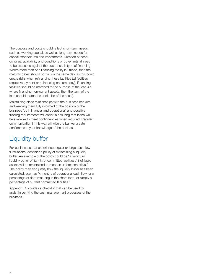The purpose and costs should reflect short-term needs, such as working capital, as well as long-term needs for capital expenditures and investments. Duration of need, continual availability and conditions or covenants all need to be assessed against the cost of each type of financing. Where more than one financing facility is utilised, then the maturity dates should not fall on the same day, as this could create risks when refinancing these facilities (all facilities require repayment or refinancing on same day). Financing facilities should be matched to the purpose of the loan (i.e. where financing non-current assets, then the term of the loan should match the useful life of the asset).

Maintaining close relationships with the business bankers and keeping them fully informed of the position of the business (both financial and operational) and possible funding requirements will assist in ensuring that loans will be available to meet contingencies when required. Regular communication in this way will give the banker greater confidence in your knowledge of the business.

### Liquidity buffer

For businesses that experience regular or large cash flow fluctuations, consider a policy of maintaining a liquidity buffer. An example of the policy could be "a minimum liquidity buffer of \$x / % of committed facilities / \$ of liquid assets will be maintained to meet an unforeseen crisis." The policy may also justify how the liquidity buffer has been calculated, such as "x months of operational cash flow, or a percentage of debt maturing in the short-term, or simply a percentage of current committed facilities."

Appendix B provides a checklist that can be used to assist in verifying the cash management processes of the business.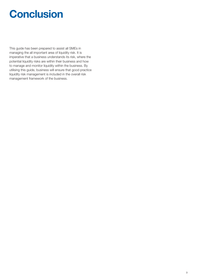## **Conclusion**

This guide has been prepared to assist all SMEs in managing the all important area of liquidity risk. It is imperative that a business understands its risk, where the potential liquidity risks are within their business and how to manage and monitor liquidity within the business. By utilising this guide, business will ensure that good practice liquidity risk management is included in the overall risk management framework of the business.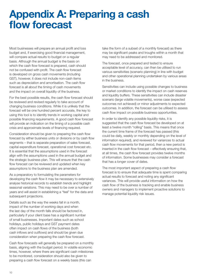## **Appendix A: Preparing a cash flow forecast**

Most businesses will prepare an annual profit and loss budget and, if exercising good financial management, will compare actual results to budget on a regular basis. Although the annual budget is the basis on which the cash flow forecast is prepared, cash should not be confused with profit. The cash flow forecast is developed on gross cash movements (including GST), however, it does not include non-cash items such as depreciation and amortisation. The cash flow forecast is all about the timing of cash movements and the impact on overall liquidity of the business.

For the best possible results, the cash flow forecast should be reviewed and revised regularly to take account of changing business conditions. While it is unlikely that the forecast will be one hundred percent accurate, the key to using this tool is to identify trends in working capital and possible financing requirements. A good cash flow forecast will provide an indication on the timing of a possible cash crisis and approximate levels of financing required.

Consideration should be given to preparing the cash flow forecast by either business units or divisions or by cash flow segments – that is separate preparation of sales forecast, capital expenditure forecast, operational cost forecast etc. It is essential that the assumptions used in the forecast align with the assumptions used in the annual budget and the strategic business plan. This will ensure that the cash flow forecast can be reviewed and updated when key assumptions to the business plan are amended.

As a preparatory to formulating the parameters for developing the cash flow it may be necessary to extensively analyse historical records to establish trends and highlight seasonal variations. This may need to be over a number of years and will assist in establishing a "feel" for the data and subsequent projections.

Details such as the way the weeks fall in a month, impact of the number of working days and when the last day of the month falls should be factored in, particularly if your client base has a significant number of small businesses. Important dates such as school holidays, public holidays and GST payment dates often impact on cash flows of the business (both cash inflows and outflows) and should be given due consideration when preparing the cash flow forecast.

Cash flow forecasts will generally be prepared on a monthly basis, aligning with the budget period. In volatile economic times, however, where there are significant cash milestones to be monitored, consideration should also be given to preparing a cash flow forecast on a weekly basis (this can

take the form of a subset of a monthly forecast) as there may be significant peaks and troughs within a month that may need to be addressed and monitored.

The forecast, once prepared and tested to ensure acceptable level of accuracy, can then be utilised to run various sensitivities (scenario planning) in line with budget and other operational planning undertaken by various areas in the business.

Sensitivities can include using possible changes to business or market conditions to identify the impact on cash reserves and liquidity buffers. These sensitivities can include disaster scenario (large volatile movements), worse case (expected outcomes not achieved) or minor adjustments to expected outcomes. In addition, the forecast can be utilised to assess cash flow impact on possible business opportunities.

In order to identify any possible liquidity risks, it is suggested that the cash flow forecast be developed on at least a twelve month "rolling" basis. This means that once the current time frame of the forecast has passed (this could be daily, weekly or monthly depending on the level of information required), and reviewed for variances to actual cash flow movements for that period, then a new period is inserted in the cash flow forecast – effectively ensuring that, at all times, the cash flow forecast provides twelve months of information. Some businesses may consider a forecast that has a longer cover of dates.

The most important aspect of preparing a cash flow forecast is to ensure that adequate time is spent comparing actual results to forecast and noting any significant variances. This will provide useful information on how the cash flow of the business is tracking and enable business owners and managers to implement proactive solutions to manage potential liquidity risk issues.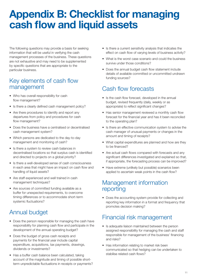## **Appendix B: Checklist for managing cash flow and liquid assets**

The following questions may provide a basis for seeking information that will be useful in verifying the cash management processes of the business. These questions are not exhaustive and may need to be supplemented by specific questions that are appropriate to the particular business.

### Key elements of cash flow management

- Who has overall responsibility for cash flow management?
- Is there a clearly defined cash management policy?
- Are there procedures to identify and report any departures from policy and procedures for cash flow management?
- Does the business have a centralised or decentralised cash management system?
- Which persons are dedicated to the day-to-day management and monitoring of cash?
- Is there a system to review cash balances in decentralised locations so that surplus cash is identified and directed to projects on a global priority?
- Is there a well-developed sense of cash consciousness in each area that might have an impact on cash flow and handling of liquid assets?
- Are staff experienced and well trained in cash management techniques?
- Are sources of committed funding available as a buffer for unexpected requirements, to overcome timing differences or to accommodate short-term systemic fluctuations?

## Annual budget

- Does the person responsible for managing the cash have responsibility for planning cash flow and participate in the development of the annual operating budget?
- Does the budget of gross cash receipts and payments for the financial year include capital expenditure, acquisitions, tax payments, drawings, dividends or investments?
- Has a buffer cash balance been calculated, taking account of the magnitude and timing of possible shortterm unpredictable fluctuations in receipts or payments?
- Is there a current sensitivity analysis that indicates the effect on cash flow of varying levels of business activity?
- What is the worst case scenario and could the business survive under those conditions?
- Does the annual budget cash flow statement include details of available committed or uncommitted undrawn funding sources?

## Cash flow forecasts

- Is the cash flow forecast, developed in the annual budget, revised frequently (daily, weekly or as appropriate) to reflect significant changes?
- Has senior management reviewed a monthly cash flow forecast for the financial year and has it been reconciled to the operating plan?
- • Is there an effective communication system to advise the cash manager of unusual payments or changes in the amount and timing of receipts?
- What capital expenditures are planned and how are they to be financed?
- Are actual cash flows compared with forecasts and any significant differences investigated and explained so that, if appropriate, the forecasting process can be improved?
- Have extreme (unlikely but possible) scenarios been applied to ascertain weak points in the cash flow?

### Management information reporting

• Does the accounting system provide for collecting and reporting key information in a format and frequency that promotes decision making?

## Financial risk management

- Is adequate liaison maintained between the person assigned responsibility for managing the cash and staff responsible for management of the business' financing and risks?
- Has information relating to market risk been communicated so that hedging can be undertaken to stabilise related cash flows?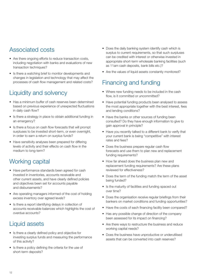## Associated costs

- Are there ongoing efforts to reduce transaction costs, including negotiation with banks and evaluations of new transaction techniques?
- Is there a watching brief to monitor developments and changes in legislation and technology that may affect the processes of cash flow management and related costs?

## Liquidity and solvency

- Has a minimum buffer of cash reserves been determined based on previous experience of unexpected fluctuations in daily cash flow?
- Is there a strategy in place to obtain additional funding in an emergency?
- Is there a focus on cash flow forecasts that will prompt surpluses to be invested short-term, or even overnight, in order to earn a return on surplus funds?
- Have sensitivity analyses been prepared for differing levels of activity and their effects on cash flow in the medium to long-term?

## Working capital

- Have performance standards been agreed for cash invested in inventories, accounts receivable and other current assets, and have clearly defined policies and objectives been set for accounts payable and disbursements?
- Are operating managers informed of the cost of holding excess inventory over agreed levels?
- Is there a report identifying delays in collection of accounts receivable balances which highlights the cost of overdue accounts?

## Liquid assets

- Is there a clearly defined policy and objective for investing surplus funds and measuring the performance of this activity?
- Is there a policy defining the criteria for the use of short-term deposits?
- Does the daily banking system identify cash which is surplus to current requirements, so that such surpluses can be credited with interest or otherwise invested in appropriate short-term wholesale banking facilities (such as 11am cash deposits, bank bills etc.)?
- Are the values of liquid assets constantly monitored?

## Financing and funding

- Where new funding needs to be included in the cash flow, is it committed or uncommitted?
- Have potential funding products been analysed to assess the most appropriate together with the best interest, fees and lending conditions?
- Have the banks or other sources of funding been consulted? Do they have enough information to give to gain approval in principle?
- Have you recently talked to a different bank to verify that your current bank is being "competitive" with interest rates and fees?
- Does the business prepare regular cash flow forecasts and use them to plan new and replacement funding requirements?
- How far ahead does the business plan new and replacement funding requirements? Are these plans reviewed for effectiveness?
- Does the term of the funding match the term of the asset being funded?
- Is the maturity of facilities and funding spaced out over time?
- Does the organisation receive regular briefings from their bankers on market conditions and funding opportunities?
- Have the costs of each financing facility been compared?
- Has any possible change of direction of the company been assessed for its impact on financing?
- Are there ways to restructure the business and reduce working capital needs?
- Does the business have unproductive or underutilised assets that can be converted into cash reserves?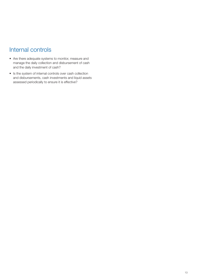### Internal controls

- Are there adequate systems to monitor, measure and manage the daily collection and disbursement of cash and the daily investment of cash?
- • Is the system of internal controls over cash collection and disbursements, cash investments and liquid assets assessed periodically to ensure it is effective?